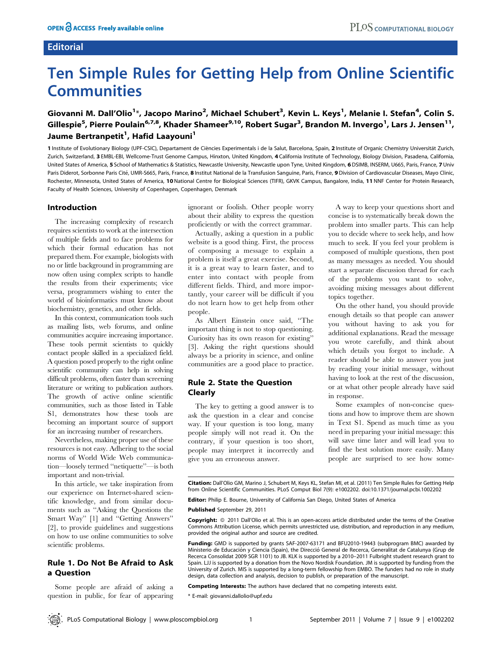# **Editorial**

# Ten Simple Rules for Getting Help from Online Scientific **Communities**

Giovanni M. Dall'Olio<sup>1</sup>\*, Jacopo Marino<sup>2</sup>, Michael Schubert<sup>3</sup>, Kevin L. Keys<sup>1</sup>, Melanie I. Stefan<sup>4</sup>, Colin S. Gillespie<sup>5</sup>, Pierre Poulain<sup>6,7,8</sup>, Khader Shameer<sup>9,10</sup>, Robert Sugar<sup>3</sup>, Brandon M. Invergo<sup>1</sup>, Lars J. Jensen<sup>11</sup>, Jaume Bertranpetit<sup>1</sup>, Hafid Laayouni<sup>1</sup>

1 Institute of Evolutionary Biology (UPF-CSIC), Departament de Ciències Experimentals i de la Salut, Barcelona, Spain, 2 Institute of Organic Chemistry Universität Zurich, Zurich, Switzerland, 3 EMBL-EBI, Wellcome-Trust Genome Campus, Hinxton, United Kingdom, 4 California Institute of Technology, Biology Division, Pasadena, California, United States of America, 5 School of Mathematics & Statistics, Newcastle University, Newcastle upon Tyne, United Kingdom, 6 DSIMB, INSERM, U665, Paris, France, 7 Univ Paris Diderot, Sorbonne Paris Cité, UMR-S665, Paris, France, 8 Institut National de la Transfusion Sanguine, Paris, France, 9 Division of Cardiovascular Diseases, Mayo Clinic, Rochester, Minnesota, United States of America, 10 National Centre for Biological Sciences (TIFR), GKVK Campus, Bangalore, India, 11 NNF Center for Protein Research, Faculty of Health Sciences, University of Copenhagen, Copenhagen, Denmark

#### Introduction

The increasing complexity of research requires scientists to work at the intersection of multiple fields and to face problems for which their formal education has not prepared them. For example, biologists with no or little background in programming are now often using complex scripts to handle the results from their experiments; vice versa, programmers wishing to enter the world of bioinformatics must know about biochemistry, genetics, and other fields.

In this context, communication tools such as mailing lists, web forums, and online communities acquire increasing importance. These tools permit scientists to quickly contact people skilled in a specialized field. A question posed properly to the right online scientific community can help in solving difficult problems, often faster than screening literature or writing to publication authors. The growth of active online scientific communities, such as those listed in Table S1, demonstrates how these tools are becoming an important source of support for an increasing number of researchers.

Nevertheless, making proper use of these resources is not easy. Adhering to the social norms of World Wide Web communication—loosely termed ''netiquette''—is both important and non-trivial.

In this article, we take inspiration from our experience on Internet-shared scientific knowledge, and from similar documents such as ''Asking the Questions the Smart Way'' [1] and ''Getting Answers'' [2], to provide guidelines and suggestions on how to use online communities to solve scientific problems.

### Rule 1. Do Not Be Afraid to Ask a Question

Some people are afraid of asking a question in public, for fear of appearing

ignorant or foolish. Other people worry about their ability to express the question proficiently or with the correct grammar.

Actually, asking a question in a public website is a good thing. First, the process of composing a message to explain a problem is itself a great exercise. Second, it is a great way to learn faster, and to enter into contact with people from different fields. Third, and more importantly, your career will be difficult if you do not learn how to get help from other people.

As Albert Einstein once said, ''The important thing is not to stop questioning. Curiosity has its own reason for existing'' [3]. Asking the right questions should always be a priority in science, and online communities are a good place to practice.

#### Rule 2. State the Question Clearly

The key to getting a good answer is to ask the question in a clear and concise way. If your question is too long, many people simply will not read it. On the contrary, if your question is too short, people may interpret it incorrectly and give you an erroneous answer.

A way to keep your questions short and concise is to systematically break down the problem into smaller parts. This can help you to decide where to seek help, and how much to seek. If you feel your problem is composed of multiple questions, then post as many messages as needed. You should start a separate discussion thread for each of the problems you want to solve, avoiding mixing messages about different topics together.

On the other hand, you should provide enough details so that people can answer you without having to ask you for additional explanations. Read the message you wrote carefully, and think about which details you forgot to include. A reader should be able to answer you just by reading your initial message, without having to look at the rest of the discussion, or at what other people already have said in response.

Some examples of non-concise questions and how to improve them are shown in Text S1. Spend as much time as you need in preparing your initial message: this will save time later and will lead you to find the best solution more easily. Many people are surprised to see how some-

Citation: Dall'Olio GM, Marino J, Schubert M, Keys KL, Stefan MI, et al. (2011) Ten Simple Rules for Getting Help from Online Scientific Communities. PLoS Comput Biol 7(9): e1002202. doi:10.1371/journal.pcbi.1002202

Editor: Philip E. Bourne, University of California San Diego, United States of America

Published September 29, 2011

Copyright: © 2011 Dall'Olio et al. This is an open-access article distributed under the terms of the Creative Commons Attribution License, which permits unrestricted use, distribution, and reproduction in any medium, provided the original author and source are credited.

Funding: GMD is supported by grants SAF-2007-63171 and BFU2010-19443 (subprogram BMC) awarded by Ministerio de Educación y Ciencia (Spain), the Direcció General de Recerca, Generalitat de Catalunya (Grup de Recerca Consolidat 2009 SGR 1101) to JB. KLK is supported by a 2010–2011 Fulbright student research grant to Spain. LJJ is supported by a donation from the Novo Nordisk Foundation. JM is supported by funding from the University of Zurich. MIS is supported by a long-term fellowship from EMBO. The funders had no role in study design, data collection and analysis, decision to publish, or preparation of the manuscript.

Competing Interests: The authors have declared that no competing interests exist.

\* E-mail: giovanni.dallolio@upf.edu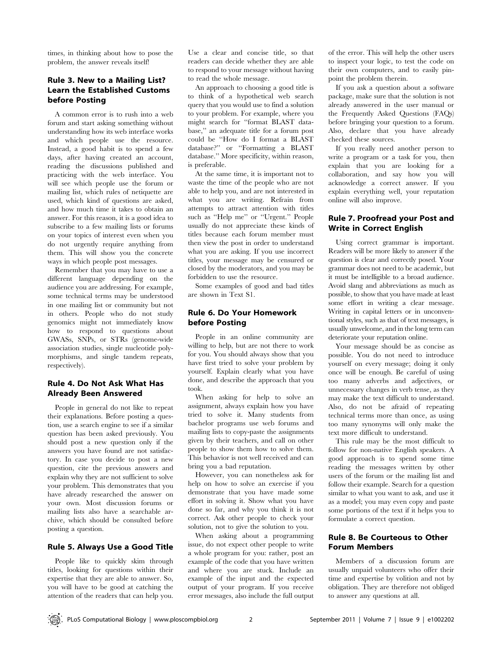times, in thinking about how to pose the problem, the answer reveals itself!

# Rule 3. New to a Mailing List? Learn the Established Customs before Posting

A common error is to rush into a web forum and start asking something without understanding how its web interface works and which people use the resource. Instead, a good habit is to spend a few days, after having created an account, reading the discussions published and practicing with the web interface. You will see which people use the forum or mailing list, which rules of netiquette are used, which kind of questions are asked, and how much time it takes to obtain an answer. For this reason, it is a good idea to subscribe to a few mailing lists or forums on your topics of interest even when you do not urgently require anything from them. This will show you the concrete ways in which people post messages.

Remember that you may have to use a different language depending on the audience you are addressing. For example, some technical terms may be understood in one mailing list or community but not in others. People who do not study genomics might not immediately know how to respond to questions about GWASs, SNPs, or STRs (genome-wide association studies, single nucleotide polymorphisms, and single tandem repeats, respectively).

#### Rule 4. Do Not Ask What Has Already Been Answered

People in general do not like to repeat their explanations. Before posting a question, use a search engine to see if a similar question has been asked previously. You should post a new question only if the answers you have found are not satisfactory. In case you decide to post a new question, cite the previous answers and explain why they are not sufficient to solve your problem. This demonstrates that you have already researched the answer on your own. Most discussion forums or mailing lists also have a searchable archive, which should be consulted before posting a question.

#### Rule 5. Always Use a Good Title

People like to quickly skim through titles, looking for questions within their expertise that they are able to answer. So, you will have to be good at catching the attention of the readers that can help you. Use a clear and concise title, so that readers can decide whether they are able to respond to your message without having to read the whole message.

An approach to choosing a good title is to think of a hypothetical web search query that you would use to find a solution to your problem. For example, where you might search for ''format BLAST database,'' an adequate title for a forum post could be ''How do I format a BLAST database?'' or ''Formatting a BLAST database.'' More specificity, within reason, is preferable.

At the same time, it is important not to waste the time of the people who are not able to help you, and are not interested in what you are writing. Refrain from attempts to attract attention with titles such as ''Help me'' or ''Urgent.'' People usually do not appreciate these kinds of titles because each forum member must then view the post in order to understand what you are asking. If you use incorrect titles, your message may be censured or closed by the moderators, and you may be forbidden to use the resource.

Some examples of good and bad titles are shown in Text S1.

# Rule 6. Do Your Homework before Posting

People in an online community are willing to help, but are not there to work for you. You should always show that you have first tried to solve your problem by yourself. Explain clearly what you have done, and describe the approach that you took.

When asking for help to solve an assignment, always explain how you have tried to solve it. Many students from bachelor programs use web forums and mailing lists to copy-paste the assignments given by their teachers, and call on other people to show them how to solve them. This behavior is not well received and can bring you a bad reputation.

However, you can nonetheless ask for help on how to solve an exercise if you demonstrate that you have made some effort in solving it. Show what you have done so far, and why you think it is not correct. Ask other people to check your solution, not to give the solution to you.

When asking about a programming issue, do not expect other people to write a whole program for you: rather, post an example of the code that you have written and where you are stuck. Include an example of the input and the expected output of your program. If you receive error messages, also include the full output of the error. This will help the other users to inspect your logic, to test the code on their own computers, and to easily pinpoint the problem therein.

If you ask a question about a software package, make sure that the solution is not already answered in the user manual or the Frequently Asked Questions (FAQs) before bringing your question to a forum. Also, declare that you have already checked these sources.

If you really need another person to write a program or a task for you, then explain that you are looking for a collaboration, and say how you will acknowledge a correct answer. If you explain everything well, your reputation online will also improve.

# Rule 7. Proofread your Post and Write in Correct English

Using correct grammar is important. Readers will be more likely to answer if the question is clear and correctly posed. Your grammar does not need to be academic, but it must be intelligible to a broad audience. Avoid slang and abbreviations as much as possible, to show that you have made at least some effort in writing a clear message. Writing in capital letters or in unconventional styles, such as that of text messages, is usually unwelcome, and in the long term can deteriorate your reputation online.

Your message should be as concise as possible. You do not need to introduce yourself on every message; doing it only once will be enough. Be careful of using too many adverbs and adjectives, or unnecessary changes in verb tense, as they may make the text difficult to understand. Also, do not be afraid of repeating technical terms more than once, as using too many synonyms will only make the text more difficult to understand.

This rule may be the most difficult to follow for non-native English speakers. A good approach is to spend some time reading the messages written by other users of the forum or the mailing list and follow their example. Search for a question similar to what you want to ask, and use it as a model; you may even copy and paste some portions of the text if it helps you to formulate a correct question.

# Rule 8. Be Courteous to Other Forum Members

Members of a discussion forum are usually unpaid volunteers who offer their time and expertise by volition and not by obligation. They are therefore not obliged to answer any questions at all.